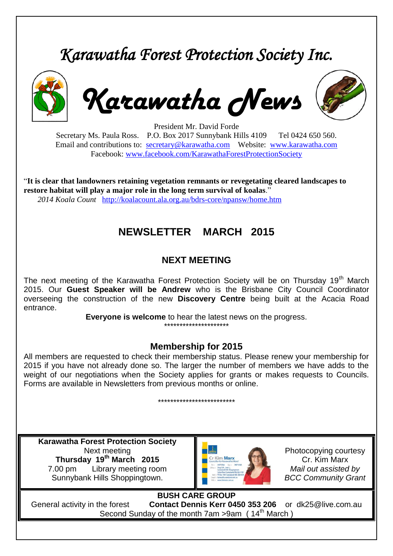# *Karawatha Forest Protection Society Inc.*



*Karawatha News*



President Mr. David Forde

Secretary Ms. Paula Ross. P.O. Box 2017 Sunnybank Hills 4109 Tel 0424 650 560. Email and contributions to: [secretary@karawatha.com](mailto:secretary@karawatha.com) Website: [www.karawatha.com](http://www.karawatha.com/) Facebook: [www.facebook.com/KarawathaForestProtectionSociety](http://www.facebook.com/KarawathaForestProtectionSociety)

"**It is clear that landowners retaining vegetation remnants or revegetating cleared landscapes to restore habitat will play a major role in the long term survival of koalas**." *2014 Koala Count* <http://koalacount.ala.org.au/bdrs-core/npansw/home.htm>

# **NEWSLETTER MARCH 2015**

#### **NEXT MEETING**

The next meeting of the Karawatha Forest Protection Society will be on Thursday 19<sup>th</sup> March 2015. Our **Guest Speaker will be Andrew** who is the Brisbane City Council Coordinator overseeing the construction of the new **Discovery Centre** being built at the Acacia Road entrance.

**Everyone is welcome** to hear the latest news on the progress.

### \*\*\*\*\*\*\*\*\*\*\*\*\*\*\*\*\*\*\*\*\*

#### **Membership for 2015**

All members are requested to check their membership status. Please renew your membership for 2015 if you have not already done so. The larger the number of members we have adds to the weight of our negotiations when the Society applies for grants or makes requests to Councils. Forms are available in Newsletters from previous months or online.

\*\*\*\*\*\*\*\*\*\*\*\*\*\*\*\*\*\*\*\*\*\*\*\*\*

**Karawatha Forest Protection Society** Next meeting **Thursday 19th March 2015** 7.00 pm Library meeting room Sunnybank Hills Shoppingtown.



Photocopying courtesy Cr. Kim Marx *Mail out assisted by BCC Community Grant*

**BUSH CARE GROUP** General activity in the forest **Contact Dennis Kerr 0450 353 206** or dk25@live.com.au Second Sunday of the month 7am >9am (14<sup>th</sup> March)